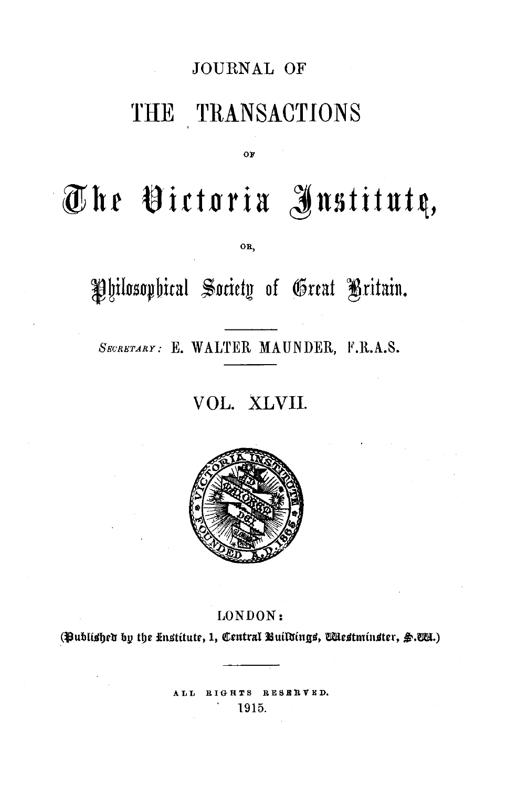### JOURNAL OF

# THE TRANSACTIONS

OF

# **·@hr t8ittl1ria Jnstitut~,**

OR,

Philosophical Society of Great Britain.

SECRETARY: E. WALTER MAUNDER, F.R.A.S.

## VOL. XLVII.



#### LONDON:

(Bublished by the Institute, 1, Central Buildings, Westminster, §.WA.)

ALL RIGHTS RESBRVER . 1915.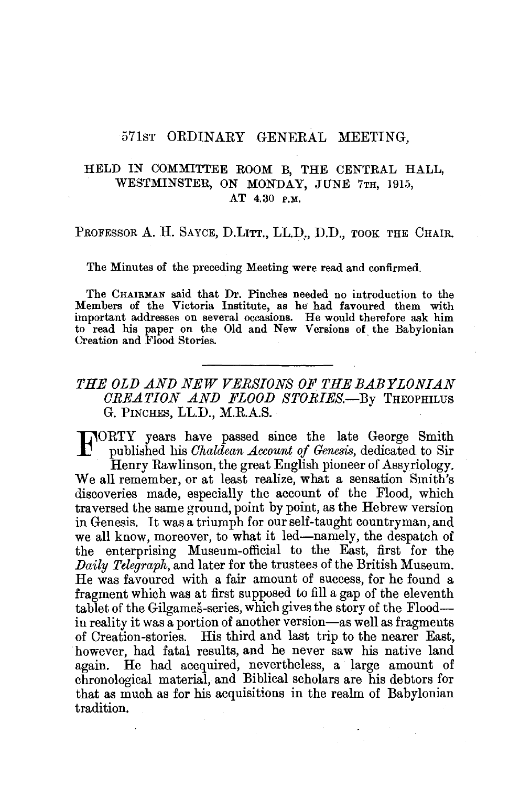#### 571ST ORDINARY GENERAL MEETING,

#### HELD IN COMMITTEE ROOM B, THE CENTRAL HALL, WESTMINSTER, ON MONDAY, JUNE 7TH, 1915, AT 4.30 P,M,

PROFESSOR A. H. SAYCE, D.LITT., LL.D., D.D., TOOK THE CHAIR.

The Minutes of the preceding Meeting were read and confirmed.

The CHAIRMAN said that Dr. Pinches needed no introduction to the Members of the Victoria Institute, as he had favoured them with important addresses on several occasions. He would therefore ask him to read his paper on the Old and New Versions of\_ the Babylonian Creation and Flood Stories.

#### *THE OLD AND NEW VERSIONS OF THE BABYLONIAN CREATION AND FLOOD STORIES.-By* THEOPHILUS G. PINCHES, LL.D., M.R.A.S.

FORTY years have passed since the late George Smith published his *Ohaldean Account of Genesis,* dedicated to Sir

Henry Rawlinson, the great English pioneer of Assyriology. We all remember, or at least realize, what a sensation Smith's discoveries made, especially the account of the Flood, which traversed the same ground, point by point, as the Hebrew version in Genesis. It was a triumph for our self-taught countryman, and we all know, moreover, to what it led—namely, the despatch of the enterprising Museum-official to the East, first for the *Daily Telegraph,* and later for the trustees of the British Museum. He was favoured with a fair amount of success, for he found a fragment which was at first supposed to fill a gap of the eleventh tablet of the Gilgames-series, which gives the story of the Floodin reality it was a portion of another version-as well as fragments of Creation-stories. His third and last trip to the nearer East, however, had fatal results, and he never saw his native land again. He had accquired, nevertheless, a large amount of chronological material, and Biblical scholars are his debtors for that as much as for his acquisitions in the realm of Babylonian tradition.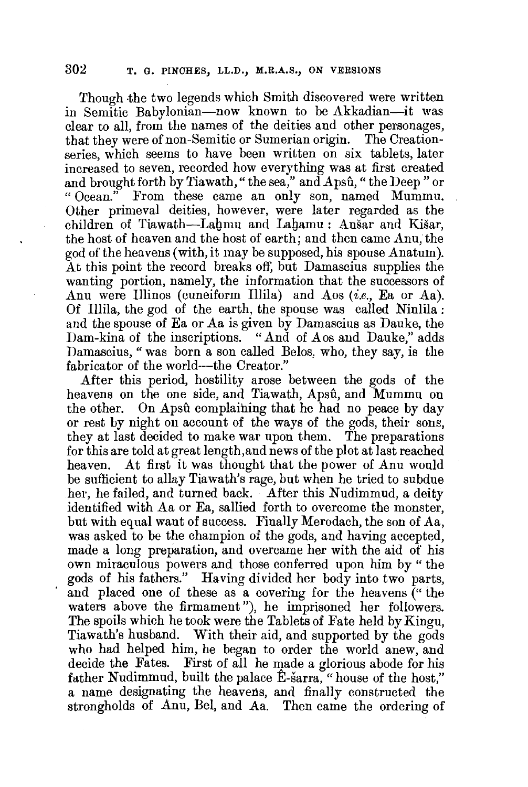Though the two legends which Smith discovered were written in Semitic Babylonian-now known to be Akkadian-it was clear to all, from the names of the deities and other personages, that they were of non-Semitic or Sumerian origin. The Creationseries, which seems to have been written on six tablets, later increased to seven, recorded how everything was at first created and brought forth by Tiawath, "the sea," and Apsû, "the Deep" or "Ocean." From these came an only son, named Mummu. From these came an only son, named Mummu. Other primeval deities, however, were later regarded as the children of Tiawath-Lahmu and Lahamu: Anšar and Kišar, the host of heaven and the-host of earth; and then came Anu, the god of the heavens (with, it may be supposed, his spouse Anatum). At this point the record breaks off, but Damascius supplies the wanting portion, namely, the information that the successors of Anu were Illinos (cuneiform Illila) and Aos (i.e., Ea or Aa). Of Illila, the god of the earth, the spouse was called Ninlila : and the spouse of Ea or Aa is given by Damascius as Dauke, the Dam-kina of the inscriptions. "And of Aos and Dauke," adds Damascius, " was born a son called Belos, who, they say, is the fabricator of the world---the Creator."

After this period, hostility arose between the gods of the heavens on the one side, and Tiawath, Apsû, and Mummu on the other. On Apsû complaining that he had no peace by day or rest by night on account of the ways of the gods, their sons, they at last decided to make war upon them. The preparations for this are told at great length,and news of the plot at last reached heaven. At first it was thought that the power of Anu would be sufficient to allay Tiawath's rage, but when he tried to subdue her, he failed, and turned back. After this Nudimmud, a deity identified with Aa or Ea, sallied forth to overcome the monster, but with equal want of success. Finally Merodach, the son of Aa, was asked to be the champion of the gods, and having accepted, made a long preparation, and overcame her with the aid of his own miraculous powers and those conferred upon him by " the gods of his fathers." Having divided her body into two parts, and placed one of these as a covering for the heavens (" the waters above the firmament"), he imprisoned her followers. The spoils which he took were the Tablets of Fate held by Kingu, Tiawath's husband. With their aid, and supported by the gods who had helped him, he began to order the world anew, and decide the Fates. First of all he made a glorious abode for his father Nudimmud, built the palace Ê-sarra, "house of the host," a name designating the heavens, and finally constructed the strongholds of Anu, Bel, and Aa. Then came the ordering of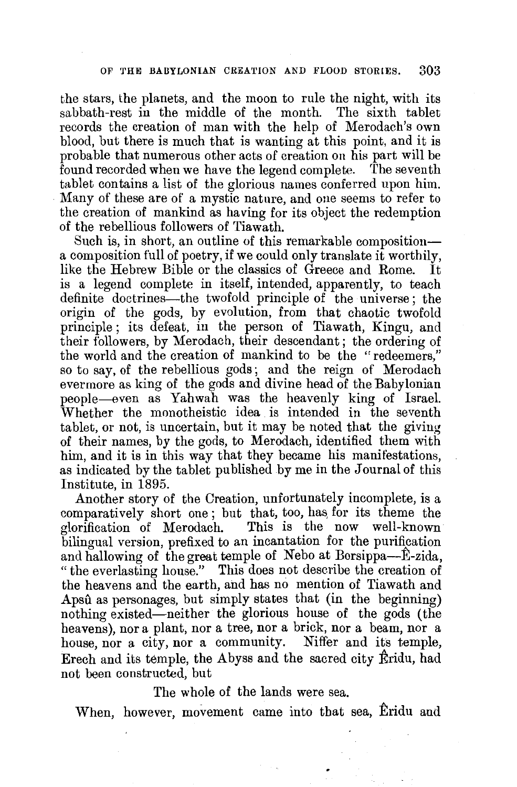the stars, the planets, and the moon to rule the night, with its sabbath-rest in the middle of the month. The sixth tablet records the creation of man with the help of Merodach's own blood, but there is much that is wanting at this point, and it is probable that numerous other acts of creation on his part will be found recorded when we have the legend complete. The seventh tablet contains a list of the glorious names conferred upon him. Many of these are of a mystic nature, and one seems to refer to the creation of mankind as having for its object the redemption of the rebellious followers of Tiawath.

Such is, in short, an outline of this remarkable composition a composition full of poetry, if we could only translate it worthily, like the Hebrew Bible or the classics of Greece and Rome. is a legend complete in itself, intended, apparently, to teach definite doctrines-the twofold principle of the universe; the origin of the gods, by evolution, from that chaotic twofold principle; its defeat, in the person of Tiawath, Kingu, and their followers, by Merodach, their descendant; the ordering of the world and the creation of mankind to be the "redeemers," so to say, of the rebellious gods; and the reign of Merodach evermore as king of the gods and divine head of the Babylonian people-even as Yahwah was the heavenly king of Israel. Whether the monotheistic idea is intended in the seventh tablet, or not, is uncertain, but it may be noted that the giving of their names, by the gods, to Merodach, identified them with him, and it is in this way that they became his manifestations, as indicated by the tablet published by me in the Journal of this Institute, in 1895.

Another story of the Creation, unfortunately incomplete, is a comparatively short one; but that, too, has for its theme the glorification of Merodach. This is the now well-known This is the now well-known bilingual version, prefixed to an incantation for the purification and hallowing of the great temple of Nebo at Borsippa-E-zida, "the everlasting house." This does not deseribe the creation of the heavens and the earth, and has no mention of Tiawath and Apsû as personages, but simply states that (in the beginning) nothing existed-neither the glorious house of the gods (the heavens), nor a plant, nor a tree, nor a brick, nor a beam, nor a house, nor a city, nor a community. Niffer and its temple, Erech and its temple, the Abyss and the sacred city Eridu, had not been constructed, but

The whole of the lands were sea.

When, however, movement came into that sea, Eridu and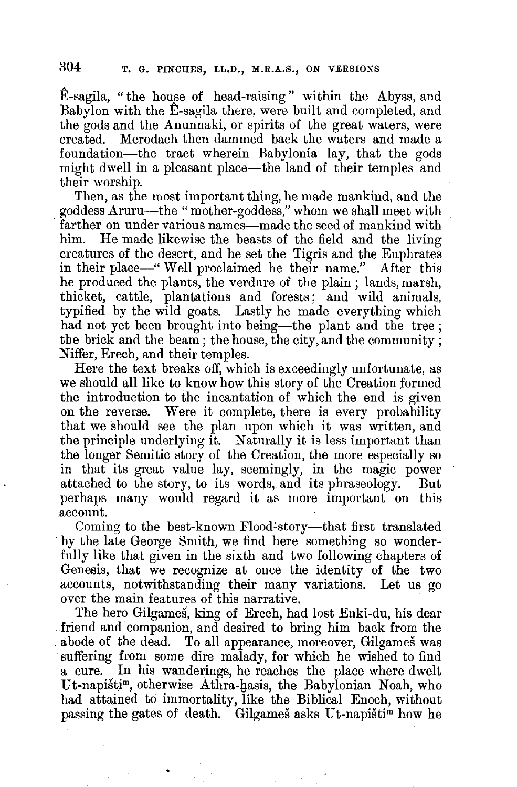E-sagila, "the house of head-raising" within the Abyss, and Babylon with the E-sagila there, were built and completed, and the gods and the Anunnaki, or spirits of the great waters, were created. Merodach then dammed back the waters and made a foundation-the tract wherein Babylonia lay, that the gods might dwell in a pleasant place—the land of their temples and their worship.

Then, as the most important thing, he made mankind, and the goddess Aruru-the "mother-goddess," whom we shall meet with farther on under various names—made the seed of mankind with him. He made likewise the beasts of the field and the living creatures of the desert, and he set the Tigris and the Euphrates in their place-" Well proclaimed he their name." After this he produced the plants, the verdure of the plain; lands, marsh, thicket, cattle, plantations and forests; and wild animals, typified by the wild goats. Lastly he made everything which had not yet been brought into being-the plant and the tree; the brick and the beam; the house, the city, and the community; Niffer, Erech, and their temples.

Here the text breaks off, which is exceedingly unfortunate, as we should all like to know how this story of the Creation formed the introduction to the incantation of which the end is given on the reverse. Were it complete, there is every probability that we should see the plan upon which it was written, and the principle underlying it. Naturally it is less important than the longer Semitic story of the Creation, the more especially so in that its great value lay, seemingly, in the magic power attached to the story, to its words, and its phraseology. But perhaps many would regard it as more important on this account.

Coming to the best-known Flood-story—that first translated by the late George Smith, we find here something so wonderfully like that given in the sixth and two following chapters of Genesis, that we recognize at once the identity of the two accounts, notwithstanding their many variations. Let us go over the main features of this narrative.

The hero Gilgames, king of Erech, had lost Enki-du, his dear friend and companion, and desired to bring him back from the abode of the dead. To all appearance, moreover, Gilgames was suffering from some dire malady, for which he wished to find a cure. In his wanderings, he reaches the place where dwelt Ut-napisti<sup>m</sup>, otherwise Athra-hasis, the Babylonian Noah, who had attained to immortality, like the Biblical Enoch, without passing the gates of death. Gilgames asks Ut-napistim how he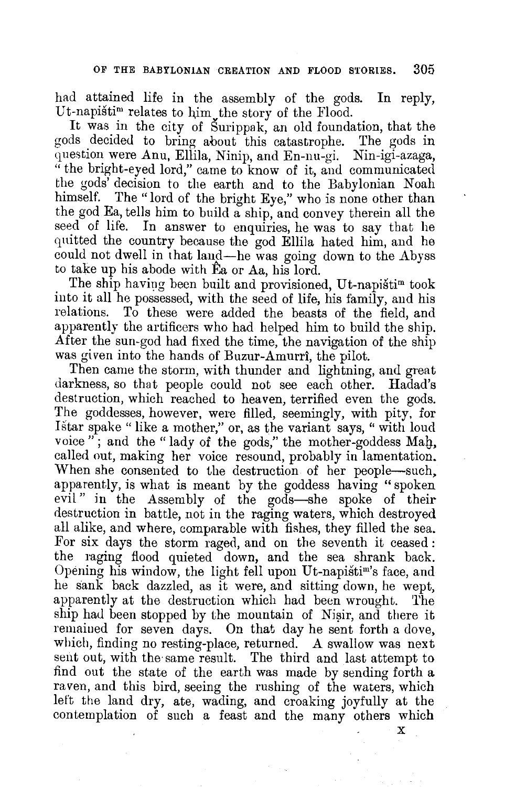had attained life in the assembly of the gods. In reply, Ut-napistim relates to him the story of the Flood.

It was in the city of Surippak, an old foundation, that the gods decided to bring about this catastrophe. The gods in question were Anu, Ellila, Ninip, and En-nu-gi. Nin-igi-azaga, " the bright-eyed lord," came to know of it, and communicated the gods' decision to the earth and to the Babylonian Noah himself. The "lord of the bright Eye," who is none other than the god Ea, tells him to build a ship, and convey therein all the seed of life. In answer to enquiries, he was to say that he quitted the country because the god Ellila hated him, and he could not dwell in that land-he was going down to the Abyss to take up his abode with Ea or Aa, his lord.

The ship having been built and provisioned, Ut-napistim took into it all he possessed, with the seed of life, his family, and his To these were added the beasts of the field, and apparently the artificers who had helped him to build the ship. After the sun-god had fixed the time, the navigation of the ship was given into the hands of Buzur-Amurri, the pilot.

Then came the storm, with thunder and lightning, and great darkness, so that people could not see each other. Hadad's destruction, which reached to heaven, terrified even the gods. The goddesses, however, were filled, seemingly, with pity, for Istar spake " like a mother," or, as the variant says, " with loud voice"; and the "lady of the gods," the mother-goddess Mah, called out, making her voice resound, probably in lamentation. When she consented to the destruction of her people-such, apparently, is what is meant by the goddess having "spoken evil" in the Assembly of the gods-she spoke of their destruction in battle, not in the raging waters, which destroyed all alike, and where, comparable with fishes, they filled the sea. For six days the storm raged, and on the seventh it ceased : the raging flood quieted down, and the sea shrank back. Opening his window, the light fell upon Ut-napistim's face, and he sank back dazzled, as it were, and sitting down, he wept, apparently at the destruction which had been wrought. The ship had been stopped by the mountain of Nisir, and there it remaiued for seven days. On that day he sent forth a dove, which, finding no resting-place, returned. A swallow was next sent out, with the same result. The third and last attempt to find out the state of the earth was made by sending forth a raven, and this bird, seeing the rushing of the waters, which left the land dry, ate, wading, and croaking joyfully at the contemplation of such a feast and the many others which

 $\mathbf x$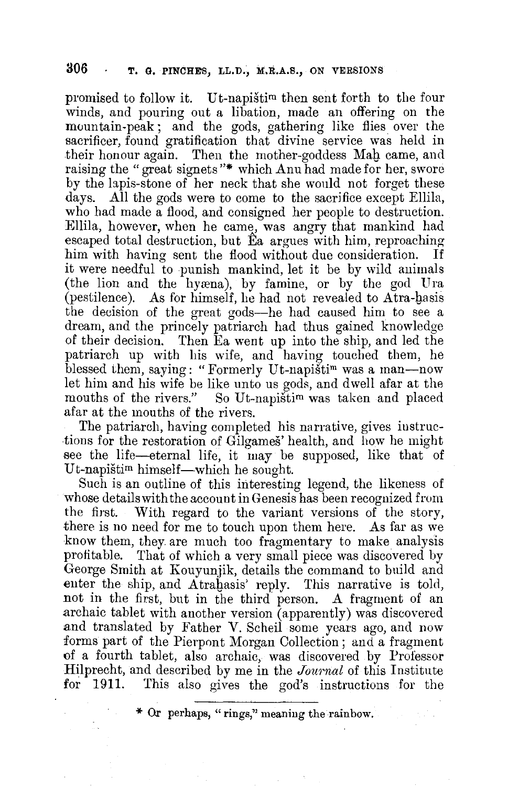promised to follow it. Ut-napistim then sent forth to the four winds, and pouring out a libation, made an offering on the mountain-peak; and the gods, gathering like flies over the sacrificer, found gratification that divine service was held in their honour again. Then the mother-goddess Mab came, and raising the "great signets"\* which Anu had made for her, swore by the laps-stone of her neck that she would not forget these days. All the gods were to come to the sacrifice except Ellila, who had made a flood, and consigned her people to destruction. Ellila, however, when he came, was angry that mankind had escaped total destruction, but Ea argues with him, reproaching him with having sent the flood without due consideration. If it were needful to punish mankind, let it be by wild animals (the lion and the hyæna), by famine, or by the god Ura (pestilence). As for himself, he had not revealed to Atra-basis the decision of the great gods-he had caused him to see a dream, and the princely patriarch had thus gained knowledge of their decision. Then Ea went up into the ship, and led the patriarch up with his wife, and having touched them, he blessed them, saying: "Formerly Ut-napistim was a man-now let him and his wife be like unto us gods, and dwell afar at the mouths of the rivers." So Ut-napisti<sup>m</sup> was taken and placed So Ut-napistim was taken and placed afar at the mouths of the rivers.

The patriarch, having completed his narrative, gives iuslructions for the restoration of Gilgames' health, and how he might see the life-eternal life, it may be supposed, like that of Ut-napištim himself—which he sought.

Such is an outline of this interesting legend, the likeness of whose details with the account in Genesis has been recognized from the first. With regard to the variant versions of the story, there is no need for me to touch upon them here. As far as we know them, they are much too fragmentary to make analysis profitable. That of which a very small piece was discovered by George Smith at Kouyunjik, details the command to build and enter the ship, and Atrahasis' reply. This narrative is told, not in the first, but in the third person. A fragment of an .archaic tablet with another version (apparently) was discovered and translated by Father V. Scheil some years ago, and now forms part of the Pierpont Morgan Collection; and a fragment of a fourth tablet, also archaic, was discovered by Professor Hilprecht, and described by me in the *Journal* of this Institute for 1911. This also gives the god's instructions for the

\* Or perhaps, "rings," meaning the rainbow.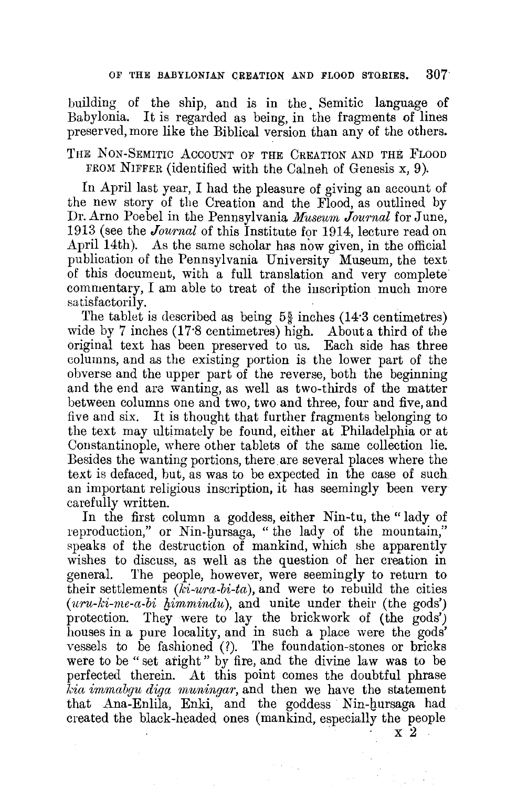building of the ship, and is in the. Semitic language of Babylonia. It is regarded as being, in the fragments of lines preserved, more like the Biblical version than any of the others.

THE NON-SEMITIC ACCOUNT OF THE CREATION AND THE FLOOD FROM NIFFER (identified with the Calneh of Genesis x, 9).

In April last year, I had the pleasure of giving an account of the new story of the Creation and the Flood, as outlined by Dr. Arno Poebel in the Pennsylvania. *Museum Journal* for June, 1913 (see the *Journal* of this Institute for 1914, lecture read on April 14th). As the same scholar has now given, in the official publication of the Pennsylvania University Museum, the text of this document, with a full translation and very complete commentary, I am able to treat of the inscription much more satisfactorily.

The tablet is described as being  $5\frac{5}{8}$  inches (14.3 centimetres) wide by 7 inches (17.8 centimetres) high. About a third of the original text has been preserved to us. Each side has three columns, and as the existing portion is the lower part of the obverse and the upper part of the reverse, both the beginning and the end are wanting, as well as two-thirds of the matter between columns one and two, two and three, four and five, and five and six. It is thought that further fragments belonging to the text may ultimately be found, either at Philadelphia or at Constantinople, where other tablets of the same collection lie. Besides the wanting portions, there are several places where the text is defaced, but, as was to be expected in the case of such an important religious inscription, it has seemingly been very carefully written.

In the first column a goddess, either Nin-tu, the "lady of reproduction," or Nin-hursaga, "the lady of the mountain," speaks of the destruction of mankind, which she apparently wishes to discuss, as well as the question of her creation in general. The people, however, were seemingly to return to their settlements *(ki-ura-bi-ta),* and were to rebuild the cities *(uru-ki-me-a-bi {Jimmindu),* and unite under their (the gods') protection. They were to lay the brickwork of (the gods') houses in a pure locality, and in such a place were the gods' vessels to be fashioned (?). The foundation-stones or bricks were to be "set aright" by fire, and the divine law was to be perfected therein. At this point comes the doubtful phrase *kia immabgu diga muningar,* and then we have the statement that Ana-Enlila, Enki, and the goddess Nin-hursaga had created the black-headed ones (mankind, especially the people  $\frac{x}{2}$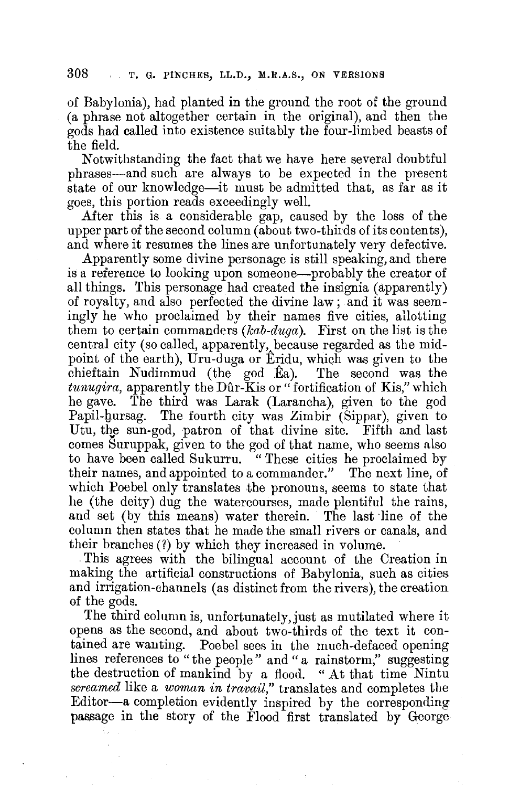of Babylonia), had planted in the ground the root of the ground (a phrase not altogether certain in the original), and then the gods had called into existence suitably the four-limbed beasts of the field.

Notwithstanding the fact that we have here several doubtful phrases-and such are always to be expected in the present state of our knowledge-it must be admitted that, as far as it goes, this portion reads exceedingly well.

After this is a considerable gap, caused by the loss of the upper part of the second column (about two-thirds of its contents), and where it resumes the lines are unfortunately very defective.

Apparently some divine personage is still speaking, and there is a reference to looking upon someone—probably the creator of all things. This personage had created the insignia (apparently) of royalty, and also perfected the divine law; and it was seemingly he who proclaimed by their names five cities, allotting them to certain commanders *(kab-duga).* First on the list is the central city (so called, apparently, because regarded as the midpoint of the earth), Uru-duga or Eridu, which was given to the chieftain Nudimmud (the god Ea). The second was the *tunugira*, apparently the Dûr-Kis or "fortification of Kis," which he gave. The third was Larak (Larancha), given to the god Papil-hursag. The fourth city was Zimbir (Sippar), given to Utu, the sun-god, patron of that divine site. Fifth and last comes Suruppak, given to the god of that name, who seems also to have been called Sukurru. <sup>""</sup> These cities he proclaimed by their names, and appointed to a commander." The next line, of which Poebel only translates the pronouns, seems to state that he (the deity) dug the watercourses, made plentiful the rains, and set (by this means) water therein. The last line of the column then states that he made the small rivers or canals, and their branches(?) by which they increased in volume .

. This agrees with the bilingual account of the Creation in making the artificial constructions of Babylonia, such as cities and irrigation-channels (as distinct from the rivers), the creation of the gods.

The third column is, unfortunately,just as mutilated where it opens as the second, and about two-thirds of the text it contained are wanting. Poebel sees in the much-defaced opening lines references to "the people" and "a rainstorm," suggesting the destruction of mankind by a flood. "At that time Nintu *screamed* like a *woman in travail,"* translates and completes the Editor-a completion evidently inspired by the corresponding passage in the story of the Flood first translated by George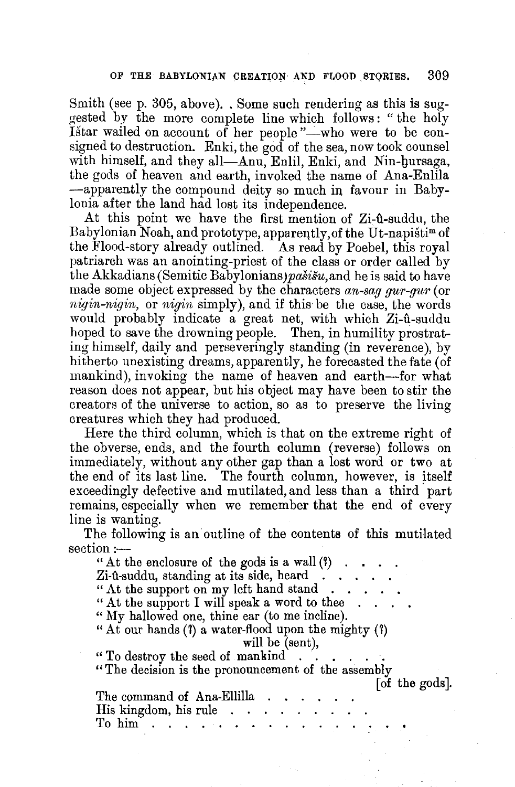Smith (see p. 305, above). . Some such rendering as this is suggested by the more complete line which follows : " the holy Istar wailed on account of her people "-who were to be consigned to destruction. Enki, the god of the sea, now took counsel with himself, and they all—Anu, Enlil, Enki, and Nin-hursaga, the gods of heaven and earth, invoked the name of Ana-Enlila -apparently the compound deity so much in, favour in Babylonia after the land had lost its independence.

At this point we have the first mention of Zi- $\hat{u}$ -suddu, the Babylonian Noah, and prototype, apparently, of the Ut-napisti<sup>m</sup> of the Flood-story already outlined. As read by Poebel, this royal patriarch was an anointing-priest of the class or order called by the Akkadians (Semitic Babylonians) pašišu, and he is said to have made some object expressed by the characters *an-sag gur-gitr* ( or *nigin-nigin,* or *nigin* simply), and if this be the case, the words would probably indicate a great net, with which Zi-û-suddu hoped to save the drowning people. Then, in humility prostrating himself, daily and perseveringly standing (in reverence), by hitherto unexisting dreams, apparently, he forecasted the fate (of mankind), invoking the name of heaven and earth-for what reason does not appear, but his object may have been to stir the creators of the universe to action, so as to preserve the living creatures which they had produced.

Here the third column, which is that on the extreme right of the obverse, ends, and the fourth column (reverse) follows on immediately, without any other gap than a lost word or two at the end of its last line. The fourth column, however, is itself exceedingly defective and mutilated, and less than a third, part remains, especially when we remember that the end of every line is wanting.

The following is an outline of the contents of this mutilated section:-

" At the enclosure of the gods is a wall  $(?)$ <br> Zi-11-suddu, standing at its side, heard .<br>"At the support on my left hand stand. " At the support I will speak a word to thee "My hallowed one, thine ear (to me incline). "At our hands  $(1)$  a water-flood upon the mighty  $(1)$ will be (sent), " To destroy the seed of mankind . . . . . ·. "The decision is the pronouncement of the assembly [ of the gods]. The command of Ana-Ellilla His kingdom, his rule To him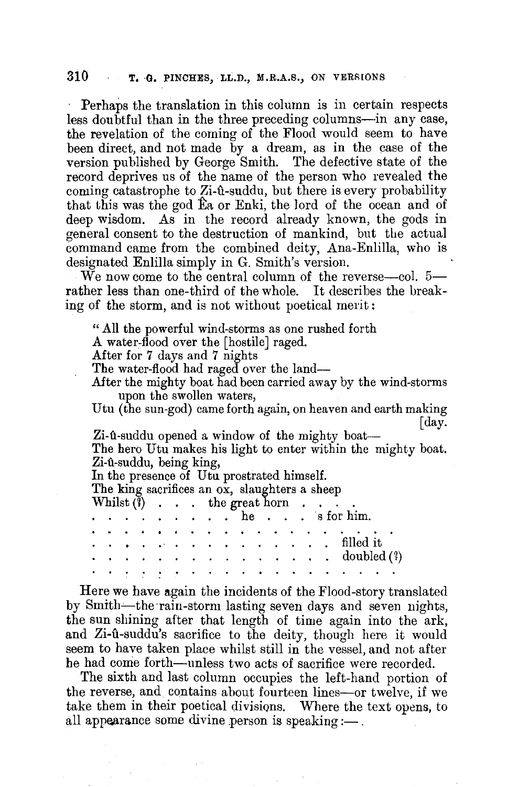Perhaps the translation in this column is in certain respects less doubtful than in the three preceding columns-in any case, the revelation of the coming of the Flood would seem to have been direct, and not made by a dream, as in the case of the version published by George Smith. The defective state of the record deprives us of the name of the person who revealed the coming catastrophe to  $Z_i$ -û-suddu, but there is every probability that this was the god Ea or Enki, the lord of the ocean and of deep wisdom. As in the record already known, the gods in general consent to the destruction of mankind, but the actual command came from the combined deity, Ana-Enlilla, who is designated Enlilla simply in G. Smith's version.

We now come to the central column of the reverse-col. 5rather less than one-third of the whole. It describes the breaking of the storm, and is not without poetical merit:

" All the powerful wind-storms as one rushed forth

A water-flood over the [hostile] raged.

After for 7 days and 7 nights

The water-flood had raged over the land-

After the mighty boat had been carried away by the wind-storms upon the swollen waters,

Utu (the sun-god) came forth again, on heaven and earth making [day.

Zi-ft-suddu opened a window of the mighty boat--The hero Utu makes his light to enter within the mighty boat. Zi-û-suddu, being king,

In the presence of Utu prostrated himself.

The king sacrifices an ox, slaughters a sheep

Whilst  $(\tilde{i})$  . . . the great horn.

|  |  |  |  |  |  |  | . he s for him. |  |                                                                                |  |  |
|--|--|--|--|--|--|--|-----------------|--|--------------------------------------------------------------------------------|--|--|
|  |  |  |  |  |  |  |                 |  |                                                                                |  |  |
|  |  |  |  |  |  |  |                 |  | . <i>.</i> filled it                                                           |  |  |
|  |  |  |  |  |  |  |                 |  | . doubled (?)                                                                  |  |  |
|  |  |  |  |  |  |  |                 |  | المنامين والمنامين والمنامين والمنامين والمنامين والمنامين والمنامين والمنامين |  |  |

Here we have again the incidents of the Flood-story translated by Smith-the rain-storm lasting seven days and seven nights, the sun shining after that length of time again into the ark, and Zi-u<sup>t</sup>-suddu's sacrifice to the deity, though here it would seem to have taken place whilst still in the vessel, and not after he had come forth—unless two acts of sacrifice were recorded.

The sixth and last column occupies the left-hand portion of the reverse, and contains about fourteen lines-or twelve, if we take them in their poetical divisions. Where the text opens, to all appearance some divine person is speaking: $\frac{1}{2}$ .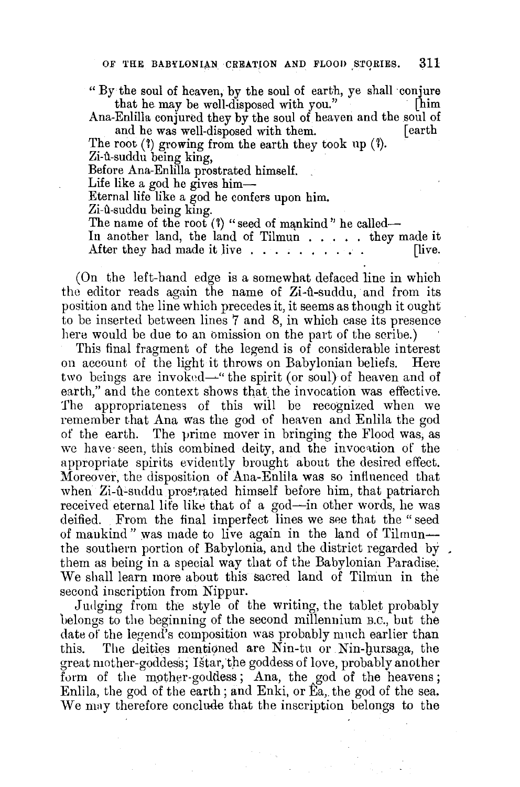"By the soul of heaven, by the soul of earth, ye shall conjure that he may be well-disposed with you."

Ana-Enlilla conjured they by the soul of heaven and the soul of and he was well-disposed with them.

The root  $(3)$  growing from the earth they took up  $(3)$ . Zi-û-suddu being king,

Before Ana-Enlilla prostrated himself.

Life like a god he gives him-

Eternal life like a god he confers upon him.

Zi-û-suddu being king.

The name of the root  $(1)$  "seed of mankind" he called--

In another land, the land of Tilmun . . . . . they made it After they had made it live  $\dots$ ,  $\dots$ ,  $\dots$ . [live.

(On the left-hand edge is a somewhat defaced line in which the editor reads again the name of  $Z_i$ -û-suddu, and from its position and the line which precedes it, it seems as though it ought to be inserted between lines 7 and 8, in which case its presence here would be due to an omission on the part of the scribe.)

This final fragment of the legend is of considerable interest on account of the light it throws on Babylonian beliefs. Here two beings are invoked—" the spirit (or soul) of heaven and of earth," and the context shows that the invocation was effective. The appropriateness of this will be recognized when we remember that Ana was the god of heaven and Enlila the god of the earth. The prime mover in bringing the Flood was, as we have seen, this combined deity, and the invocation of the appropriate spirits evidently brought about the desired effect. Moreover, the disposition of Ana-Enlila was so influenced that when Zi-û-suddu proetrated himself before him, that patriarch received eternal life like that of a god—in other words, he was deified. From the final imperfect lines we see that the "seed of mankind" was made to live again in the land of Tilmunthe southern portion of Babylonia, and the district regarded by. them as being in a special way that of the Babylonian Paradise,: We shall learn more about this sacred land of Tilmun in the second inscription from Nippur.

Judging from the style of the writing, the tablet probably belongs to the beginning of the second millennium B.C., but the date of the legend's composition was probably much earlier than this. The deities mentioned are Nin-tu or Nin-bursaga, the great mother-goddess; Istar, the goddess of love, probably another form of the mother-goddess; Ana, the god of the heavens; Enlila, the god of the earth; and Enki, or Ea, the god of the sea. We may therefore conclude that the inscription belongs to the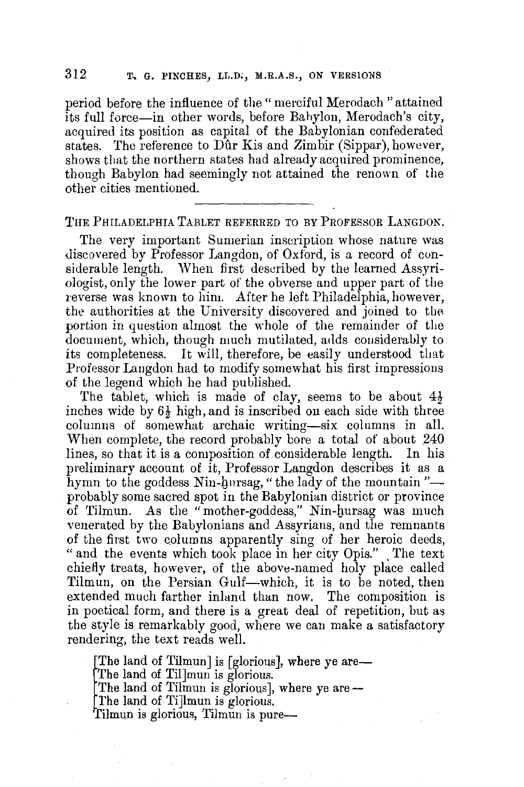period before the influence of the "merciful Merodach "attained its full force-in other words, before Bahylon, Merodach's city, acquired its position as capital of the Babylonian confederated states. The reference to Dûr Kis and Zimbir (Sippar), however, shows that the northern states had already acquired prominence, though Babylon had seemingly not attained the renown of the other cities mentioned.

THE PHILADELPHIA TABLET REFERRED TO BY PROFESSOR LANGDON.

The very important Sumerian inscription whose nature was discovered by Professor Langdon, of Oxford, is a record of considerable length. When first described by the learned Assyriologist, only the lower part of the obverse and upper part of the reverse was known to him. After he left Philadelphia, however, the authorities at the University discovered and joined to the portion in question almost the whole of the remainder of the document, which, though much mutilated, adds considerably to its completeness. It will, therefore, be easily understood that Professor Laugdon had to modify somewhat his first impressions of the legend which he had published.

The tablet, which is made of clay, seems to be about  $4\frac{1}{2}$ inches wide by  $6\frac{1}{2}$  high, and is inscribed on each side with three columns of somewhat archaic writing-six columns in all. When complete, the record probably bore a total of about 240 lines, so that it is a composition of considerable length. In his preliminary account of it, Professor Langdon describes it as a hymn to the goddess Nin-hursag, "the lady of the mountain"probably some sacred spot in the Babylonian district or province of Tilmun. As the "mother-goddess," Nin-gursag was much venerated by the Babylonians and Assyrians, and the remnants of the first two columns apparently sing of her heroic deeds, " and the events which took place in her city Opis." The text chiefly treats, however, of the above-named holy place called Tilmun, on the Persian Gulf-which, it is to be noted, then extended much farther inland thun now. The composition is in poetical form, and there is a great deal of repetition, but as the style is remarkably good, where we can make a satisfactory rendering, the text reads well.

The land of Tilmun] is [glorious], where ye are-

The land of Til]mun is glorious.

The land of Tilmun is glorious], where ye are --<br>The land of Ti]lmun is glorious.

 $\begin{array}{c} \text{Th} \ \text{Th} \ \text{Th} \ \text{Th} \ \text{Th} \ \text{Th} \ \text{Th} \ \text{Th} \ \text{fin} \end{array}$ Tilmun is glorious, Tilmun is pure-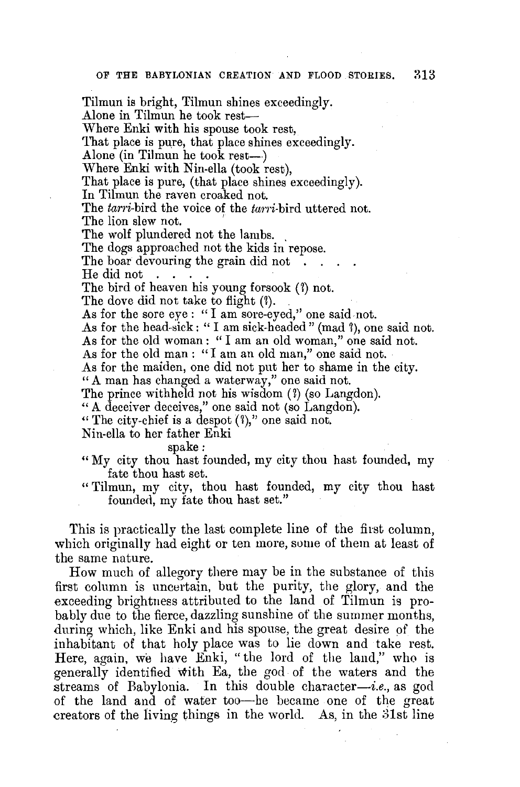Tilmun is bright, Tilmun shines exceedingly. Alone in Tilmun he took rest-Where Enki with his spouse took rest, That place is pure, that place shines exceedingly. Alone (in Tilmun he took rest-) Where Enki with Nin-ella (took rest), That place is pure, (that place shines exceedingly). In Tilmun the raven croaked not. The *tarri-bird* the voice of the tarri-bird uttered not. The lion slew not. The wolf plundered not the lambs. The dogs approached not the kids in repose. The boar devouring the grain did not He did not . The bird of heaven his young forsook (7) not. The dove did not take to flight (?). As for the sore eye : "I am sore-eyed," one said not. As for the head-sick: "I am sick-headed" (mad ?), one said not. As for the old woman: "I am an old woman," one said not. As for the old man : "I am an old man," one said not. As for the maiden, one did not put her to shame in the city. "A man has changed a waterway," one said not. The prince withheld not his wisdom (?) (so Langdon). "A deceiver deceives," one said not (so Langdon). "The city-chief is a despot  $(1)$ ," one said not. Nin-ella to her father Enki spake: " My city thou hast founded, my city thou hast founded, my

fate thou hast set.

"Tilmun, my city, thou hast founded, my city thou hast founded, my fate thou hast set."

This is practically the last complete line of the first column, which originally had eight or ten more, some of them at least of the same nature.

How much of allegory there may be in the substance of this first column is uncertain, but the purity, the glory, and the exceeding brightness attributed to the land of Tilmun is probably due to the fierce, dazzling sunshine of the summer months, during which, like Enki and his spouse, the great desire of the inhabitant of that holy place was to lie down and take rest. Here, again, we have Enki, "the lord of the land," who is generally identified with Ea, the god of the waters and the streams of Babylonia. In this double character-i.e., as god of the land and of water too-he became one of the great creators of the living things in the world. As, in the 31st line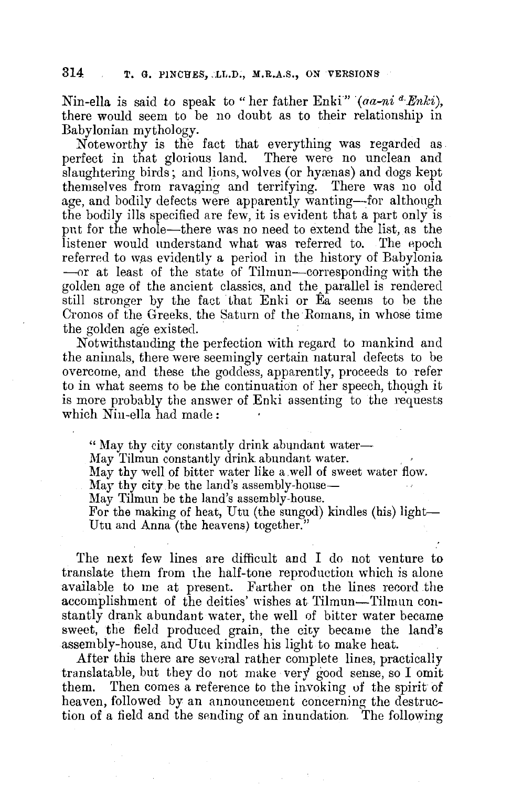Nin-ella is said to speak to " her father Enki" (*aa-ni <sup>a</sup>·Enki*), there would seem to be no doubt as to their relationship in Babylonian mythology.

Noteworthy is the fact that everything was regarded as perfect in that glorious land. There were no unclean and slaughtering birds; and lions, wolves (or hyænas) and dogs kept themselves from ravaging and terrifying. There was no old age, and bodily defects were apparently wanting-for although the bodily ills specified are few, it is evident that a part only is pnt for the whole-there was no need to extend the list, as the listener would understand what was referred to. The epoch referred to was evidently a period in the history of Babylonia -or at least of the state of Tilmun-corresponding with the golden age of the ancient classics, and the parallel is rendered still stronger by the fact that Enki or Ea seems to be the Cronos of the Greeks, the Saturn of the Romans, in whose time the golden age existed.

Notwithstanding the perfection with regard to mankind and the animals, there were seemingly certain natural defects to be overcome, and these the goddess, apparently, proceeds to refer to in what seems to be the continuation of her speech, though it is more probably the answer of Enki assenting to the requests which Nin-ella had made:

" May thy city constantly drink abundant water---<br>May Tilmun constantly drink abundant water.

May thy well of bitter water like a well of sweet water flow.

May thy city be the land's assembly-house—

May Tilmun be the land's assembly-house.

For the making of heat, Utu (the sungod) kindles (his) light-Utu and Anna (the heavens) together."

The next few lines are difficult and I do not venture to translate them from the half-tone reproduction which is alone available to me at present. Farther on the lines record the accomplishment of the deities' wishes at Tilmun-Tilmun constantly drank abundant water, the well of bitter water became sweet, the field produced grain, the city became the land's assembly-house, and Utu kindles his light to make heat.

After this there are several rather complete lines, practically translatable, but they do not make very good sense, so I omit them. Then comes a reference to the invoking of the spirit of heaven, followed by an announcement concerning the destruction of a field and the sending of an inundation. The following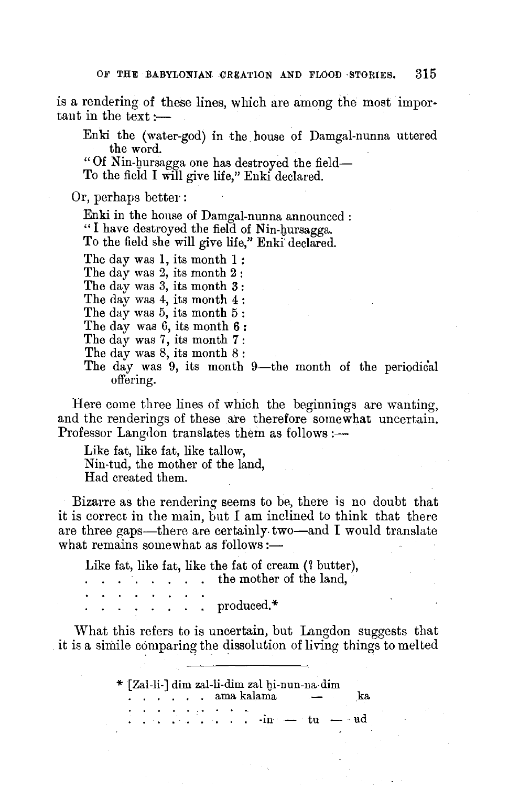is a rendering of these lines, which are among the most important in the text :—

Enki the (water-god) in the house of Damgal-nunna uttered the word.

"Of Nin-hursagga one has destroyed the field-To the field I will give life," Enki declared.

Or, perhaps better :

Enki in the house of Damgal-nunna announced : "I have destroyed the field of Nin-hursagga. To the field she will give life," Enki' declared.

The day was 1, its month I :

The day was 2, its month 2 :

The day was 3, its month 3 :

The day was 4, its month 4 :

The day was 5, its month 5:

The day was 6, its month **6** :

The day was 7, its month **7** :

The day was 8, its month 8 :

The day was 9, its month 9-the month of the periodical offering.

Here come three lines of which the beginnings are wanting, and the renderings of these are therefore somewhat uncertain. Professor Langdon translates them as follows :-

Like fat, like fat, like tallow, Nin-tud, the mother of the land, Had created them.

Bizarre as the rendering seems to be, there is no doubt that it is correct in the main, but I am inclined to think that there are three gaps—there are certainly two—and I would translate what remains somewhat as follows:-

Like fat, like fat, like the fat of cream (? butter), the mother of the land,  $\mathbf{L}^{\text{max}}$ . produced.\*

What this refers to is uncertain, but Langdon suggests that it is a simile comparing the dissolution of living things to melted

> \* [Zal-li-] dim zal-li-dim zal 1Ji-nun-11a-dim . . . . . . ama kalama - ka ..........  $\cdots$   $\cdots$   $\cdots$   $\cdots$   $\cdots$   $\cdots$   $\cdots$   $\cdots$   $\cdots$   $\cdots$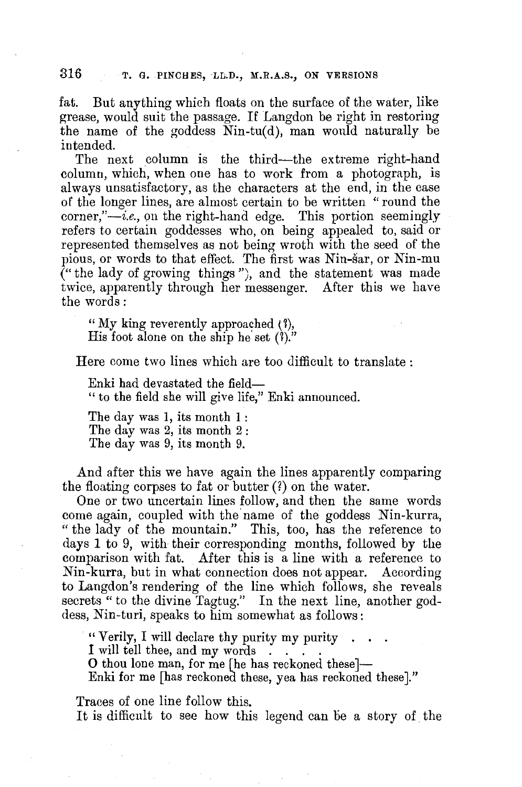fat. But anything which floats on the surface of the water, like grease, would suit the passage. If Langdon be right in restoring the name of the goddess  $Nin-tu(d)$ , man would naturally be intended.

The next column is the third-the extreme right-hand column, which, when one has to work from a photograph, is always unsatisfactory, as the characters at the end, in the case of the longer lines, are almost certain to be written "round the  $\alpha$  corner," $-i.e.,$  on the right-hand edge. This portion seemingly refers to certain goddesses who, on being appealed to, said or represented themselves as not being wroth with the seed of the pious, or words to that effect. The first was Nin-sar, or Nin-mu  $($ " the lady of growing things"), and the statement was made twice, apparently through her messenger. After this we have the words:

" My king reverently approached { 1), His foot alone on the ship he set  $(1)$ ."

Here come two lines which are too difficult to translate :

Enki had devastated the field- " to the field she will give life," Enki announced.

The day was I, its month I : The day was 2, its month 2 : The day was 9, its month 9.

And after this we have again the lines apparently comparing the floating corpses to fat or butter (?) on the water.

One or two uncertain lines follow, and then the same words come again, coupled with the name of the goddess Nin-kurra, " the lady of the mountain." This, too, has the reference to days 1 to 9, with their corresponding months, followed by the comparison with fat. After this is a line with a reference to Nin-kurra, but in what connection does not appear. According to Langdon's rendering of the lins which follows, she reveals secrets " to the divine Tagtug." In the next line, another goddess, Nin-turi, speaks to him somewhat as follows:

" Verily, I will declare thy purity my purity . . I will tell thee, and my words . . . . . . O thou lone man, for me [he has reckoned these]-

Enki for me [has reckoned these, yea has reckoned these]."

Traces of one line follow this.

It is difficult to see how this legend can be a story of the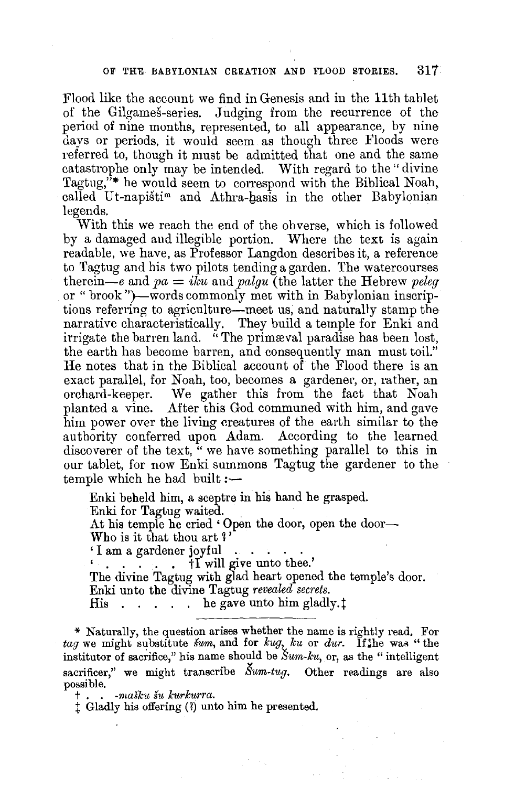#### OF THE BABYLONIAN CREATION AND FLOOD STORIES. 317.

Flood like the account we find in Genesis and in the 11th tablet of the Gilgames-series. Judging from the recurrence of the period of nine months, represented, to all appearance, by nine days or periods. it would seem as though three Floods were referred to, though it must be admitted that one and the same catastrophe only may be intended. With regard to the" divine Tagtng,"\* he would seem to correspond with the Biblical Noah, called Ut-napišti<sup>m</sup> and Athra-hasis in the other Babylonian legends.

With this we reach the end of the obverse, which is followed by a damaged and illegible portion. Where the text is again readable, we have, as Professor Langdon describes it, a reference to Tagtug and his two pilots tending a garden. The watercourses therein—e and  $pa = iku$  and  $palgu$  (the latter the Hebrew *peleq* or "brook ")-words commonly met with in Babylonian inscriptions referring to agriculture-meet us, and naturally stamp the narrative characteristically. They build a temple for Enki and irrigate the barren land. "The primæval paradise has been lost, the earth has become barren, and consequently man must toil." He notes that in the Biblical account of the Flood there is an exact parallel, for Noah, too, becomes a gardener, or, rather, an orchard-keeper. We gather this from the fact that Noah planted a vine. After this God communed with him, and gave him power over the living creatures of the earth similar to the authority conferred upon Adam. According to the learned discoverer of the text,  $\alpha$  we have something parallel to this in our tablet, for now Enki summons Tagtug the gardener to the temple which he had built  $:$ 

Enki beheld him, a sceptre in his hand he grasped. Enki for Tagtug waited. At his temple he cried 'Open the door, open the door-Who is it that thou art ?' ' I am a gardener joyful . . . . . ' . . . . . tI will give unto thee.' The divine Tagtug with glad heart opened the temple's door. Enki unto the divine Tagtug *revealed secrets.*  His . . . . he gave unto him gladly. $\ddagger$ 

\* Naturally, the question arises whether the name is rightly read. For *tag* we might substitute *sum*, and for  $kug$ ,  $ku$  or *dur*. If the was "the institutor of sacrifice," his name should be  $\textit{Sum-ku}$ , or, as the "intelligent" sacrificer," we might transcribe  $\tilde{S}um-tug$ . Other readings are also possible.

t . . *-rnasku su kurkurra.* 

 $\ddagger$  Gladly his offering (?) unto him he presented.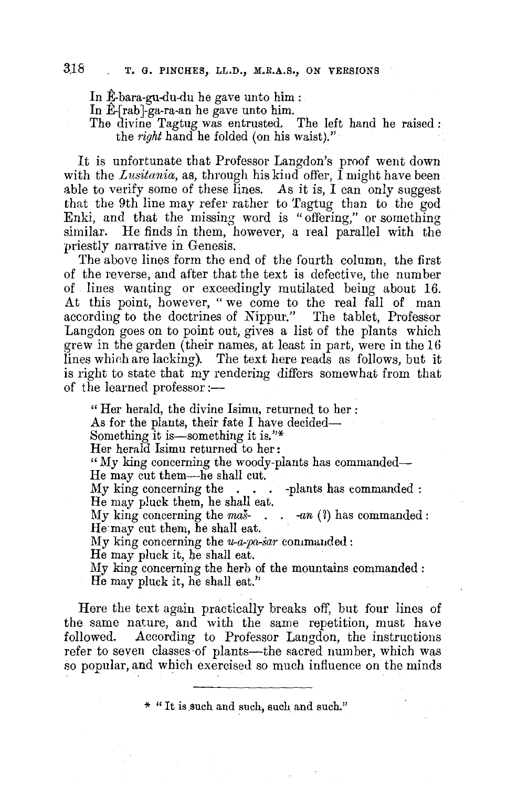In  $E$ -bara-gu-du-du he gave unto him :

In  $E$ -[rab]-ga-ra-an he gave unto him.

The divine Tagtug was entrusted. The left hand he raised : the *right* hand he folded (on his waist)."

It is unfortunate that Professor Langdon's proof went down with the *Lusitania*, as, through his kind offer, I might have been able to verify some of these lines. *As* it is, I can only suggest that the 9th line may refer rather to Tagtug than to the god Enki, and that the missing word is "offering," or something similar. He finds in them, however, a real parallel with the priestly narrative in Genesis.

The above lines form the end of the fourth column, the first of the reverse, and after that the text is defective, the number of lines wanting or exceedingly mutilated being about 16. At this point, however, " we come to the real fall of man according to the doctrines of Nippur." The tablet, Professor Langdon goes on to point out, gives a list of the plants which grew in the garden (their names, at least in part, were in the 16 lines which are lacking). The text here reads as follows, but it is right to state that my rendering differs somewhat from that of the learned professor:—

" Her herald, the divine Isimu, returned to her *:*  As for the plants, their fate I have decided— Something it is—something it is."\* Her herald Isimu returned to her : "My king concerning the woody-plants has commanded-He may cut them--he shall cut. My king concerning the . . . -plants has commanded *:*  He may pluck them, he shall eat. My king concerning the mas-... -an (?) has commanded: He·may cut them, he shall eat. My king concerning the  $u-a$ -pa-sar commanded: He may pluck it, he shall eat, My king concerning the herb of the mountains commanded *:* 

He may pluck it, he shall eat.''

Here the text again practically breaks off, but four lines of the same nature, and with the same repetition, must have followed. According to Professor Langdon, the instructions refer to seven classes of plants-the sacred number, which was so popular, and which exercised so much influence on the minds

\* "It is such and such, such and such."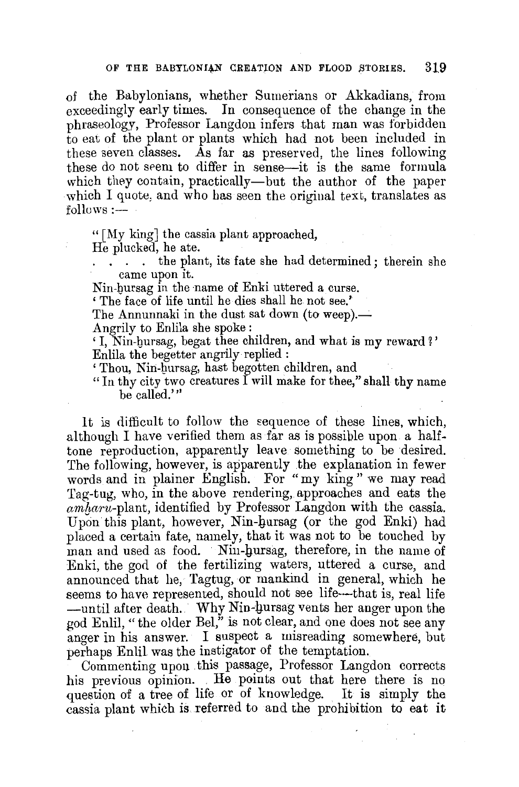of the Babylonians, whether Sumerians or Akkadians, from exceedingly early times. In consequence of the change in the phraseology, Professor Langdon infers that man was forbidden to eat of the plant or plants which had not been included in these seven classes. As far as preserved, the lines following these do not srem to differ in sense-it is the same formula which they contain, practically-but the author of the paper which I quote, and who has seen the original text, translates as  $follows:$   $-$ 

" [My king] the cassia plant approached,

He plucked, he ate.

the plant, its fate she had determined; therein she came upon it.

Nin-bursag in the name of Enki uttered a curse.

' The face of life until he dies shall he not see.'

The Annunnaki in the dust sat down (to weep).—

Angrily to Enlila she spoke :

' I, Nin-bursag, begat thee children, and what is **my** reward 1' Enlila the begetter angrily replied :

' Thou, Nin-bursag, hast begotten children, and

"In thy city two creatures I will make for thee," shall thy name be called.'"

It is difficult to follow the sequence of these lines, which, although I have verified them as far as is possible upon a halftone reproduction, apparently leave something to be desired. The following, however, is apparently the explanation in fewer words and in plainer English. For "my king " we may read Tag-tug, who, in the above rendering, approaches and eats the *amb,aru-plant,* identified by Professor Langdon with the cassia. Upon this plant, however, Nin-hursag (or the god Enki) had placed a certain fate, namely, that it was not to be touched by man and used as food. Nin-hursag, therefore, in the name of Enki, the god of the fertilizing waters, uttered a curse, and announced that he, Tagtug, or mankind in general, which he seems to have represented, should not see life—that is, real life -until after death. Why Nin-hursag vents her anger upon the god Enlil, "the older Bel," is not clear, and one does not see any anger in his answer. I suspect a misreading somewhere, but perhaps Enlil was the instigator of the temptation.

Commenting upon . this passage, Professor Langdon corrects his previous opinion. He points out that here there is no question of a tree of life or of knowledge. It is simply the cassia plant which is referred to and the prohibition to eat it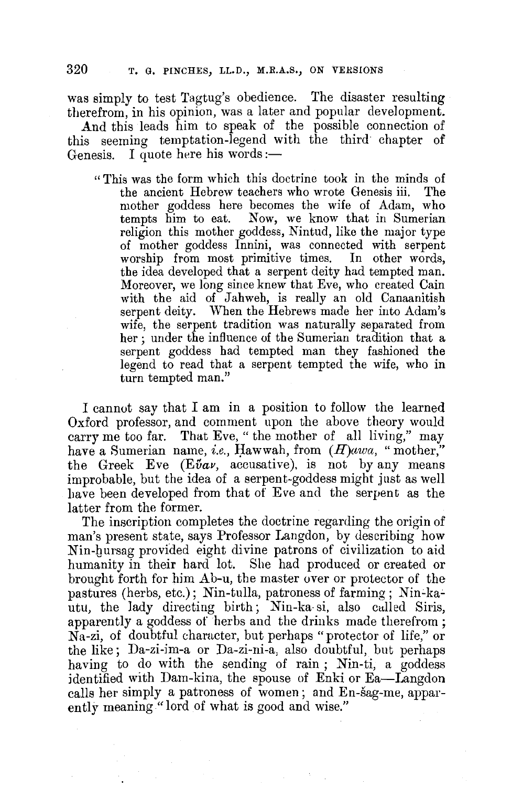was simply to test Tagtug's obedience. The disaster resulting therefrom, in his opinion, was a later and popular development.

**And** this leads him to speak of the possible connection of this seeming temptation-legend with the third chapter of Genesis. I quote here his words:-

" This was the form which this doctrine took in the minds of the ancient Hebrew teachers who wrote Genesis iii. The mother goddess here becomes the wife of Adam, who tempts him to eat. Now, we know that in Sumerian religion this mother goddess, Nintud, like the major type of mother goddess Innini, was connected with serpent worship from most primitive times. In other words, the idea developed that a serpent deity had tempted man. Moreover, we long since knew that Eve, who created Cain with the aid of Jahweh, is really an old Canaanitish serpent deity. When the Hebrews made her into Adam's wife, the serpent tradition was naturally separated from her ; under the influence of the Sumerian tradition that a serpent goddess had tempted man they fashioned the legend to read that a serpent tempted the wife, who in turn tempted man."

I cannot say that I am **in** a position to follow the learned Oxford professor, and comment upon the above theory would carry me too far. That Eve, " the mother of all living," may have a Sumerian name, *i.e.*, Hawwah, from  $(H)$ awa, "mother," the Greek Eve  $(E\tilde{\nu}a\nu,$  accusative), is not by any means improbable, but the idea of a serpent-goddess might just as well have been developed from that of Eve and the serpent as the latter from the former.

The inscription completes the doctrine regarding the origin of man's present state, says Professor Langdon, by describing how Nin-hursag provided eight divine patrons of civilization to aid humanity in their hard lot. She had produced or created or brought forth for him Ab-u, the master over or protector of the pastures (herbs, etc.); Nin-tulla, patroness of farming; Nin-kautu, the lady directing birth; Nin-ka-si, also called Siris, apparently a goddess of herbs and the drinks made therefrom ; Na-zi, of doubtful character, but perhaps "protector of life," or the like; Da-zi-im-a or Da-zi-ni-a, also doubtful, but perhaps having to do with the sending of rain ; Nin-ti, a goddess identified with Dam-kina, the spouse of Enki or Ea-Langdon calls her simply a patroness of women; and En-sag-me, apparently meaning "lord of what is good and wise."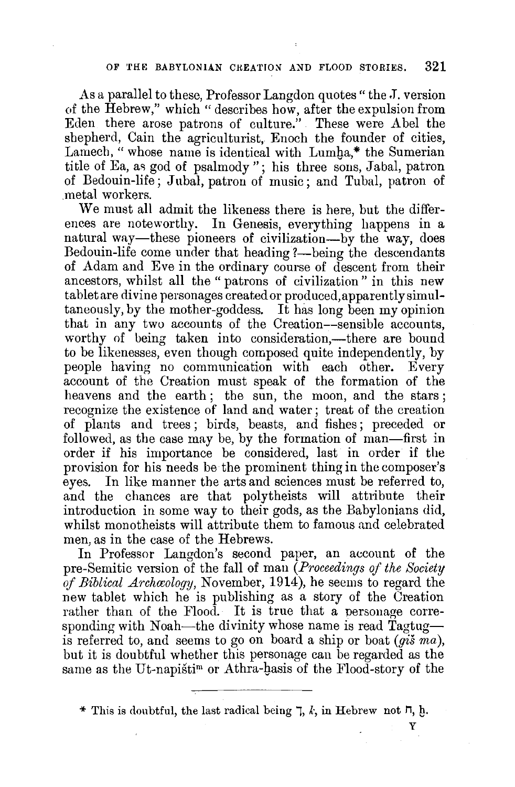As a parallel to these, Professor Langdon quotes " the J. version of the Hebrew," which "describes how, after the expulsion from Eden there arose patrons of culture." These were Abel the shepherd, Cain the agriculturist, Enoch the founder of cities, Lamech, "whose name is identical with Lumha,\* the Sumerian title of Ea, as god of psalmody "; his three sons, Jabal, patron of Bedouin-life; Jubal, patron of music; and Tubal, patron of .metal workers.

We must all admit the likeness there is here, but the differences are noteworthy. In Genesis, everything happens in a natural way—these pioneers of civilization—by the way, does Bedouin-life come under that heading ?—being the descendants of Adam and Eve in the ordinary course of descent from their ancestors, whilst all the " patrons of civilization" in this new tablet are divine personages created or produced,apparentlysimultaneously, by the mother-goddess. It has long been my opinion that in any two accounts of the Creation--sensible accounts, worthy of being taken into consideration,—there are bound to be likenesses, even though composed quite independently, by people having no communication with each other. Every account of the Creation must speak of the formation of the heavens and the earth; the sun, the moon, and the stars; recognize the existence of land and water; treat of the creation of plants and trees ; birds, beasts, and fishes; preceded or followed, as the case may be, by the formation of man-first in order if his importance be considered, last in order if the provision for his needs be the prominent thing in the composer's eyes. In like manner the arts and sciences must be referred to, and the chances are that polytheists will attribute their introduction in some way to their gods, as the Babylonians did, whilst monotheists will attribute them to famous and celebrated men, as in the case of the Hebrews.

In Professor Langdon's second paper, an account of the pre-Semitic version of the fall of man *(Proceedings of the Society of Biblical Archwology,* November, 1914), he seems to regard the new tablet which he is publishing as a story of the Creation rather than of the Flood. It is true that a personage corresponding with Noah—the divinity whose name is read  $Tagtug$ is referred to, and seems to go on board a ship or boat (gis *ma),*  but it is doubtful whether this personage can be regarded as the same as the Ut-napisti<sup>m</sup> or Athra-hasis of the Flood-story of the

\* This is doubtful, the last radical being  $\bar{p}$ , k, in Hebrew not  $\bar{p}$ , h,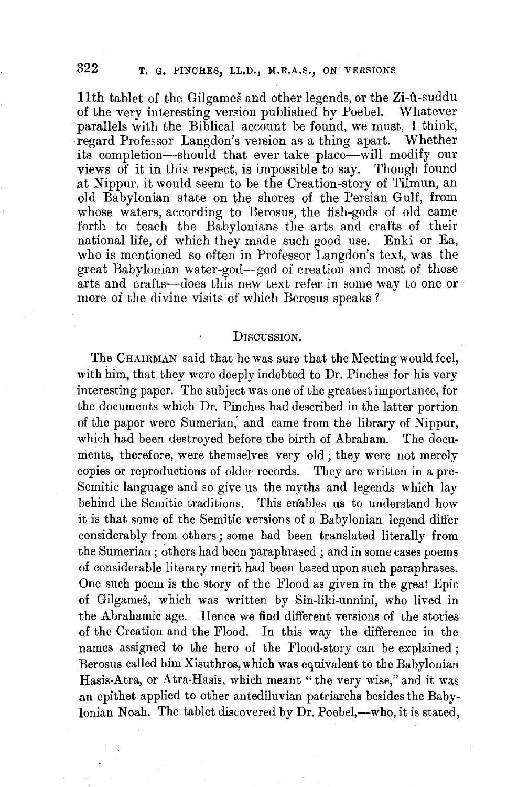11th tablet of the Gilgames and other legends, or the Zi-û-suddu of the very interesting version published by Poebel. Whatever parallels with the Biblical account be found, we must, I think, regard Professor Langdon's version as a thing apart. Whether its completion-should that ever take place-will modify our views of it in this respect, is impossible to say. Though found at Nippur, it would seem to be the Creation-story of Tilmun, an old Babylonian state on the shores of the Persian Gulf, from whose waters, according to Berosus, the fish-gods of old came forth to teach the Babylonians the arts and crafts of their national life, of which they made such good use. Enki or Ea, who is mentioned so often in Professor Langdon's text, was the great Babylonian water-god-god of creation and most of those arts and crafts-does this new text refer in some way to one or more of the divine visits of which Berosus speaks?

#### DISCUSSION.

The CHAIRMAN said that he was sure that the Meeting would feel, with him, that they were deeply indebted to Dr. Pinches for his very interesting paper. The subject was one of the greatest importance, for the documents which Dr. Pinches had described in the latter portion of the paper were Sumerian,' and came from the library of Nippur, which had been destroyed before the birth of Abraham. The documents, therefore, were themselves very old ; they were not merely copies or reproductions of older records. They are written in a pre-Semitic language and so give us the myths and legends which lay behind the Semitic traditions. This enables us to understand how it is that some of the Semitic versions of a Babylonian legend differ considerably from others; some had been translated literally from the Sumerian; others had been paraphrased; and in some cases poems of considerable literary merit had been based upon such paraphrases. One such poem is the story of the Flood as given in the great Epic of Gilgames, which was written by Sin-liki-unnini, who lived in the Abrahamic age. Hence we find different versions of the stories of the Creation and the Flood. In this way the difference in the names assigned to the hero of the Flood-story can be explained ; Berosus called him Xisuthros, which was equivalent to the Babylonian Hasis-Atra, or Atra-Hasis, which meant "the very wise," and it was **an** epithet applied to other antediluvian patriarchs besides the Babylonian Noah. The tablet discovered by Dr. Poebel,—who, it is stated,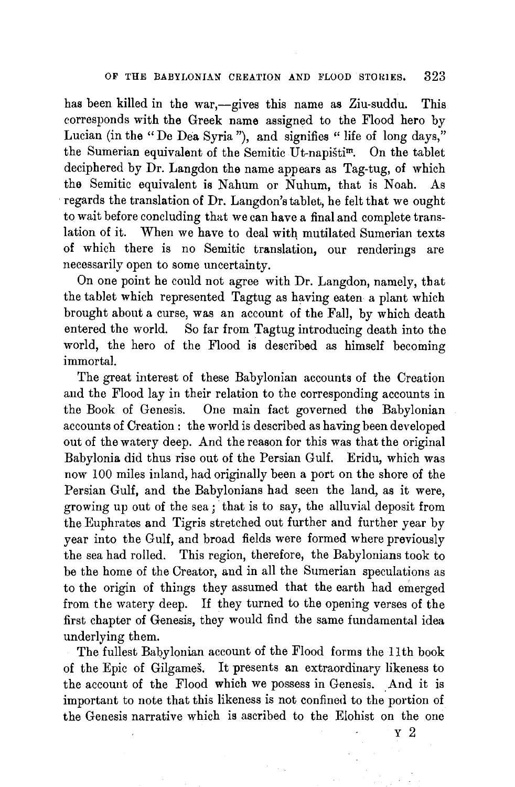has been killed in the war,--gives this name as Ziu-suddu. This corresponds with the Greek name assigned to the Flood hero by Lucian (in the "De Dea Syria"), and signifies " life of long days," the Sumerian equivalent of the Semitic Ut-napistim. On the tablet deciphered by Dr. Langdon the name appears as Tag-tug, of which the Semitic equivalent is Nahum or Nuhum, that is Noah. As regards the translation of Dr. Langdon's tablet, he felt that we ought to wait before concluding that we can **have a** final and complete translation of it. When we have to deal with mutilated Sumerian texts of which there is no Semitic translation, our renderings are necessarily open to some uncertainty.

On one point he could not agree with Dr. Langdon, namely, that the tablet which represented Tagtug as having eaten a plant which brought about a curse, was an account of the Fall, by which death entered the world. So far from Tagtug introducing death into the world, the hero of the Flood is described as himself becoming immortal.

The great interest of these Babylonian accounts of the Creation and the Flood lay in their relation to the corresponding accounts in the Book of Genesis. One main fact governed the Babylonian accounts of Creation : the world is described as having been developed out of the watery deep. And the reason for this was that the original Babylonia did thus rise out of the Persian Gulf. Eridu, which was now 100 miles inland, had originally been a port on the shore of the Persian Gulf, and the Babylonians had seen the land, as it were, growing up out of the sea; that is to say, the alluvial deposit from the Euphrates and Tigris stretched out further and further year by year into the Gulf, and broad fields were formed where previously the sea had rolled. This region, therefore, the Babylonians took to be the home of the Creator, and in all the Sumerian speculations as to the origin of things they assumed that the earth had emerged from the watery deep. If they turned to the opening verses of the first chapter of Genesis, they would find the same fundamental idea underlying them.

The fullest Babylonian account of the Flood forms the 11th book of the Epic of Gilgames. It presents an extraordinary likeness to the account of the Flood which we possess in Genesis. And it is important to note that this likeness is not confined to the portion of the Genesis narrative which is ascribed to the Elohist on the one

y 2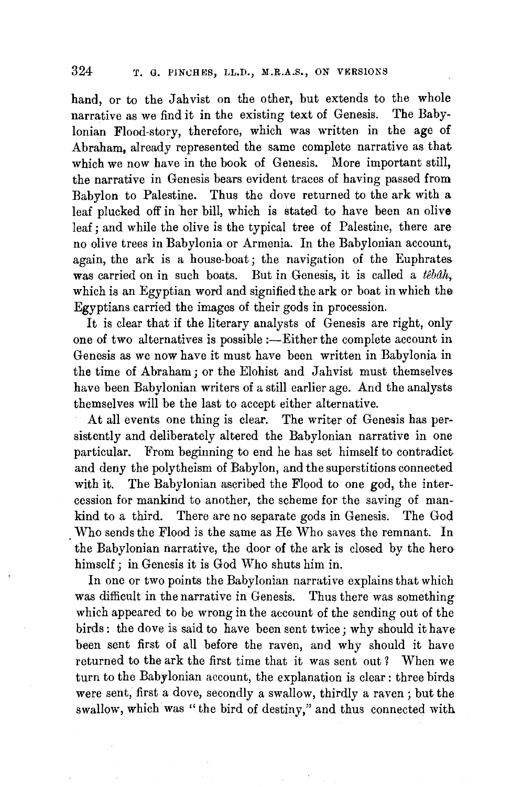hand, or to the Jahvist on the other, but extends to the whole narrative as we find it in the existing text of Genesis. The Babylonian Flood-story, therefore, which was written in the age of Abraham, already represented the same complete narrative as that which we now have in the book of Genesis. More important still, the narrative in Genesis bears evident traces of having passed from Babylon to Palestine. Thus the dove returned to the ark with a leaf plucked off in her bill, which is stated to have been an olive leaf; and while the olive is the typical tree of Palestine, there are no olive trees in Babylonia or Armenia. In the Babylonian account, again, the ark is a house-boat; the navigation of the Euphrates was carried on in such boats. But in Genesis, it is called a *tebah,*  which is an Egyptian word and signified the ark or boat in which the Egyptians carried the images of their gods in procession.

It is clear that if the literary analysts of Genesis are right, only one of two alternatives is possible :- Either the complete account in Genesis as we now have it must have been written in Babylonia in the time of Abraham; or the Elohist and Jahvist must themselves have been Babylonian writers of a still earlier age. And the analysts themselves will be the last to accept either alternative.

At all events one thing is clear. The writer of Genesis has persistently and deliberately altered the Babylonian narrative in one particular. From beginning to end he has set himself to contradict and deny the polytheism of Babylon, and the superstitions connected with it. The Babylonian ascribed the Flood to one god, the intercession for mankind to another, the scheme for the saving of mankind to a third. There are no separate gods in Genesis. The God Who sends the Flood is the same as He Who saves the remnant. In the Babylonian narrative, the door of the ark is closed by the hero himself; in Genesis it is God Who shuts him in.

In one or two points the Babylonian narrative explains that which was difficult in the narrative in Genesis. Thus there was something which appeared to be wrong in the account of the sending out of the birds: the dove is said to have been sent twice; why should it have been sent first of all before the raven, and why should it have returned to the ark the first time that it was sent out ? When we turn to the Babylonian account, the explanation is clear : three birds were sent, first a dove, secondly a swallow, thirdly a raven; but the swallow, which was "the bird of destiny," and thus connected with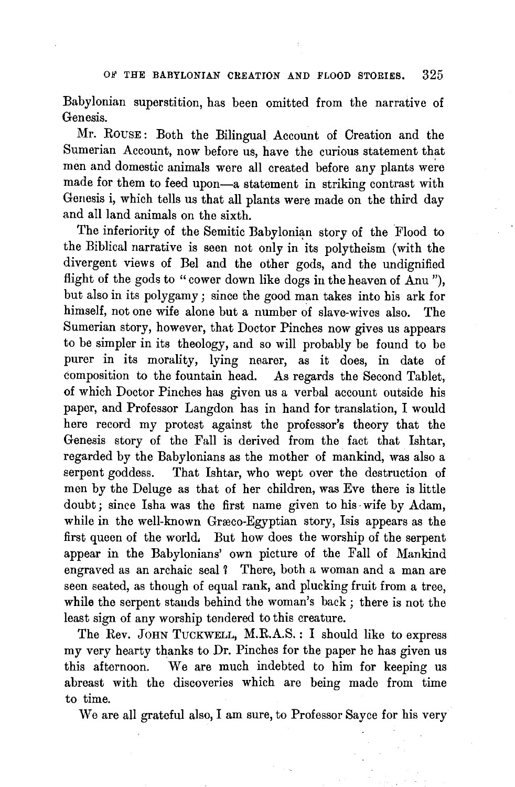Babylonian superstition, has been omitted from the narrative of Genesis.

Mr. ROUSE: Both the Bilingual Account of Creation and the Sumerian Account, now before us, have the curious statement that men and domestic animals were all created before any plants were made for them to feed upon-a statement in striking contrast with Genesis i, which tells us that all plants were made on the third day and all land animals on the sixth.

The inferiority of the Semitic Babylonian story of the Flood to the Biblical narrative is seen not only in its polytheism (with the divergent views of Bel and the other gods, and the undignified flight of the gods to "cower down like dogs in the heaven of Anu"), but also in its polygamy; since the good man takes into his ark for himself, not one wife alone but a number of slave-wives also. The Sumerian story, however, that Doctor Pinches now gives us appears to be simpler in its theology, and so will probably be found to be purer in its morality, lying nearer, as it does, in date of composition to the fountain head. As regards the Second Tablet, of which Doctor Pinches has given us a verbal account outside his paper, and Professor Langdon has in hand for translation, I would here record my protest against the professor's theory that the Genesis story of the Fall is derived from the fact that Ishtar, regarded by the Babylonians as the mother of mankind, was also a serpent goddess. That lshtar, who wept over the destruction of men by the Deluge as that of her children, was Eve there is little doubt; since Isha was the first name given to his wife by Adam, while in the well-known Græco-Egyptian story, Isis appears as the first queen of the world, But how does the worship of the serpent appear in the Babylonians' own picture of the Fall of Mankind engraved as an archaic seal ? There, both a woman and a man are seen seated, as though of equal rank, and plucking fruit from a tree, while the serpent stands behind the woman's back; there is not the least sign of any worship tendered to this creature.

The Rev. JOHN TUCKWELL, M.R.A.S. : I should like to express my very hearty thanks to Dr. Pinches for the paper he has given us this afternoon. We are much indebted to him for keeping us abreast with the discoveries which are being made from time to time.

We are all grateful also, I am sure, to Professor Sayce for his very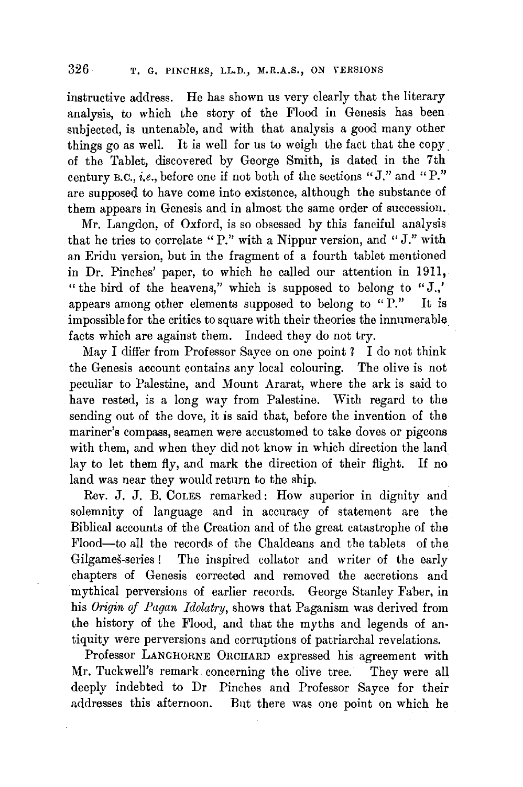instructive address. He has shown us very clearly that the literary analysis, to which the story of the Flood in Genesis has been subjected, is untenable, and with that analysis a good many other things go as well. It is well for us to weigh the fact that the copy. of the Tablet, discovered by George Smith, is dated in the 7th century B.C., *i.e.*, before one if not both of the sections "J." and "P." are supposed to have come into existence, although the substance of them appears in Genesis and in almost the same order of succession.

Mr. Langdon, of Oxford, is so obsessed by this fanciful analysis that he tries to correlate "P." with a Nippur version, and "J." with an Eridu version, but in the fragment of a fourth tablet mentioned in Dr. Pinches' paper, to which he called our attention in 1911, "the bird of the heavens," which is supposed to belong to "J.," appears among other elements supposed to belong to "P." It is impossible for the critics to square with their theories the innumerable. facts which are against them. Indeed they do not try.

May I differ from Professor Sayce on one point ? I do not think the Genesis account contains any local colouring. The olive is not peculiar to Palestine, and Mount Ararat, where the ark is said to have rested, is a long way from Palestine. With regard to the sending out of the dove, it is said that, before the invention of the mariner's compass, seamen were accustomed to take doves or pigeons with them, and when they did not know in which direction the land lay to let them fly, and mark the direction of their flight. If no land was near they would return to the ship.

Rev. J. J. B. COLES remarked: How superior in dignity and solemnity of language and in accuracy of statement are the Biblical accounts of the Creation and of the great catastrophe of the Flood-to all the records of the Chaldeans and the tablets of the. Gilgames-series ! The inspired collator and writer of the early chapters of Genesis corrected and removed the accretions and mythical perversions of earlier records. George Stanley Faber, in his *Origin of Pagan Idolatry,* shows that Paganism was derived from the history of the Flood, and that the myths and legends of antiquity were perversions and corruptions of patriarchal revelations.

Professor LANGHORNE ORCHARD expressed his agreement with Mr. Tuckwell's remark concerning the olive tree. They were all deeply indebted to Dr Pinches and Professor Sayce for their addresses this afternoon. But there was one point on which he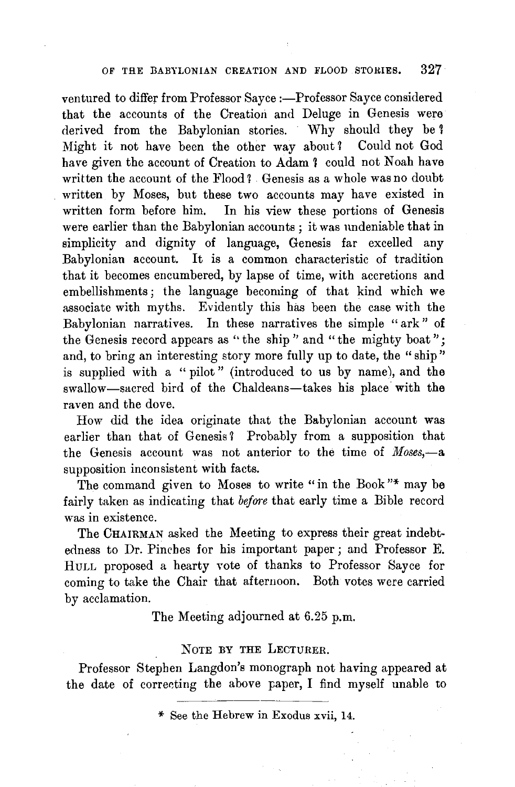#### OF THE BABYLONIAN CREATION AND FLOOD STORIES.  $327$

ventured to differ from Professor Sayce :- Professor Sayce considered that the accounts of the Creation and Deluge in Genesis were derived from the Babylonian stories. Why should they be 1 Might it not have been the other way about? Could not God have given the account of Creation to Adam ? could not Noah have written the account of the Flood ? Genesis as a whole was no doubt written by Moses, but these two accounts may have existed in written form before him. In his view these portions of Genesis In his view these portions of Genesis were earlier than the Babylonian accounts ; it was undeniable that in simplicity and dignity of language, Genesis far excelled any Babylonian account. It is a common characteristic of tradition that it becomes encumbered, by lapse of time, with accretions and embellishments; the language becoming of that kind which we associate with myths. Evidently this has been the case with the Babylonian narratives. In these narratives the simple "ark" of the Genesis record appears as "the ship" and "the mighty boat"; and, to bring an interesting story more fully up to date, the "ship" is supplied with a "pilot" (introduced to us by name), and the swallow-sacred bird of the Chaldeans-takes his place with the raven and the dove.

How did the idea originate that the Babylonian account was earlier than that of Genesis? Probably from a supposition that the Genesis account was not anterior to the time of *Moses*,-a supposition inconsistent with facts.

The command given to Moses to write "in the Book"\* may be fairly taken as indicating that *before* that early time a Bible record was in existence.

The CHAIRMAN asked the Meeting to express their great indebtedness to Dr. Pinches for his important paper; and Professor E. HULL proposed a hearty vote of thanks to Professor Sayce for coming to take the Chair that afternoon. Both votes were carried by acclamation.

The Meeting adjourned at 6.25 p.m.

#### NOTE BY THE LECTURER.

Professor Stephen Langdon's monograph not having appeared at the date of correcting the above paper, I find myself unable to

<sup>\*</sup> See the Hebrew in Exodus xvii, 14.